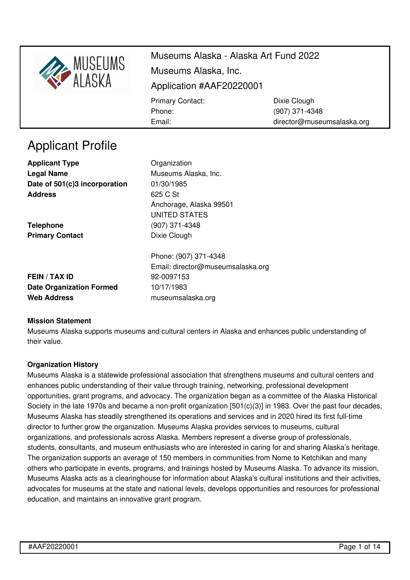

director@museumsalaska.org

# Applicant Profile

**Applicant Type Construction** Organization **Legal Name** Museums Alaska, Inc. **Date of 501(c)3 incorporation** 01/30/1985 **Address** 625 C St

**Telephone** (907) 371-4348 **Primary Contact** Dixie Clough

Anchorage, Alaska 99501 UNITED STATES

Email:

**FEIN / TAX ID** 92-0097153 **Date Organization Formed** 10/17/1983 **Web Address** [museumsalaska.org](https://museumsalaska.org)

Phone: (907) 371-4348 Email: director@museumsalaska.org

### **Mission Statement**

Museums Alaska supports museums and cultural centers in Alaska and enhances public understanding of their value.

### **Organization History**

Museums Alaska is a statewide professional association that strengthens museums and cultural centers and enhances public understanding of their value through training, networking, professional development opportunities, grant programs, and advocacy. The organization began as a committee of the Alaska Historical Society in the late 1970s and became a non-profit organization [501(c)(3)] in 1983. Over the past four decades, Museums Alaska has steadily strengthened its operations and services and in 2020 hired its first full-time director to further grow the organization. Museums Alaska provides services to museums, cultural organizations, and professionals across Alaska. Members represent a diverse group of professionals, students, consultants, and museum enthusiasts who are interested in caring for and sharing Alaska's heritage. The organization supports an average of 150 members in communities from Nome to Ketchikan and many others who participate in events, programs, and trainings hosted by Museums Alaska. To advance its mission, Museums Alaska acts as a clearinghouse for information about Alaska's cultural institutions and their activities, advocates for museums at the state and national levels, develops opportunities and resources for professional education, and maintains an innovative grant program.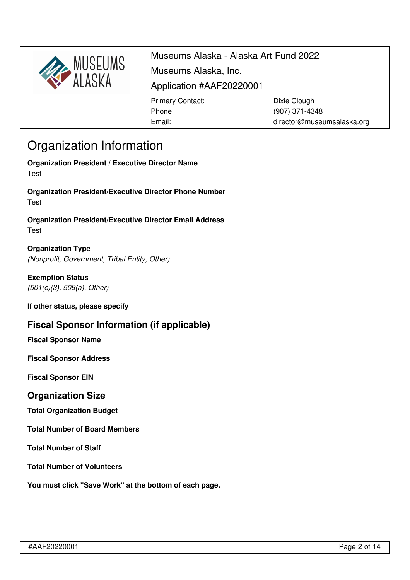

(907) 371-4348 director@museumsalaska.org

# Organization Information

**Organization President / Executive Director Name** Test

**Organization President/Executive Director Phone Number** Test

Email:

**Organization President/Executive Director Email Address** Test

**Organization Type** *(Nonprofit, Government, Tribal Entity, Other)*

**Exemption Status** *(501(c)(3), 509(a), Other)*

**If other status, please specify**

## **Fiscal Sponsor Information (if applicable)**

**Fiscal Sponsor Name**

**Fiscal Sponsor Address**

**Fiscal Sponsor EIN**

### **Organization Size**

**Total Organization Budget**

**Total Number of Board Members**

**Total Number of Staff**

**Total Number of Volunteers**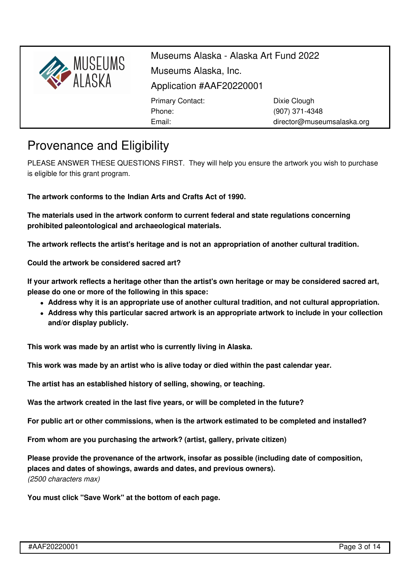

director@museumsalaska.org

# Provenance and Eligibility

PLEASE ANSWER THESE QUESTIONS FIRST. They will help you ensure the artwork you wish to purchase is eligible for this grant program.

**The artwork conforms to the [Indian](https://www.doi.gov/iacb/act) Arts and Crafts Act of 1990.**

Email:

**The materials used in the artwork conform to current federal and state regulations concerning prohibited [paleontological](https://www.nps.gov/subjects/fossils/fossil-protection.htm) and [archaeological](https://www.theregreview.org/2020/02/12/nakahara-regulation-american-archaeology/) materials.**

**The artwork reflects the artist's heritage and is not an [appropriation](http://museumsalaska.org/resources/Documents/CA%20Flow%20Chart.pdf) of another cultural tradition.**

**Could the artwork be considered sacred art?**

If your artwork reflects a heritage other than the artist's own heritage or may be considered sacred art, **please do one or more of the following in this space:**

- **Address why it is an appropriate use of another cultural tradition, and not cultural appropriation.**
- **Address why this particular sacred artwork is an appropriate artwork to include in your collection and/or display publicly.**

**This work was made by an artist who is currently living in Alaska.**

**This work was made by an artist who is alive today or died within the past calendar year.**

**The artist has an established history of selling, showing, or teaching.**

**Was the artwork created in the last five years, or will be completed in the future?**

**For public art or other commissions, when is the artwork estimated to be completed and installed?**

**From whom are you purchasing the artwork? (artist, gallery, private citizen)**

**Please provide the provenance of the artwork, insofar as possible (including date of composition, places and dates of showings, awards and dates, and previous owners).** *(2500 characters max)*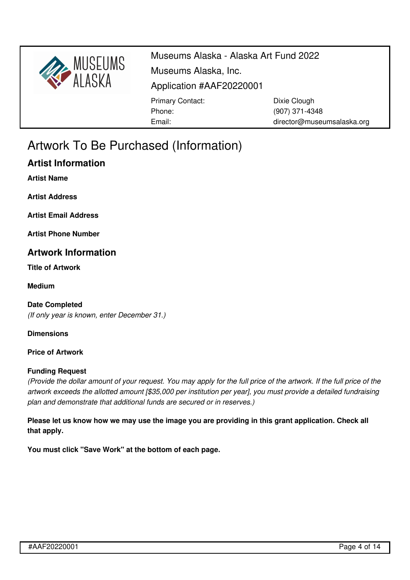

Museums Alaska - Alaska Art Fund 2022 Museums Alaska, Inc. Application #AAF20220001 Primary Contact: Phone: Email: Dixie Clough (907) 371-4348 director@museumsalaska.org

# Artwork To Be Purchased (Information)

## **Artist Information**

**Artist Name**

**Artist Address**

**Artist Email Address**

**Artist Phone Number**

### **Artwork Information**

**Title of Artwork**

**Medium**

**Date Completed** *(If only year is known, enter December 31.)*

**Dimensions**

#### **Price of Artwork**

#### **Funding Request**

(Provide the dollar amount of your request. You may apply for the full price of the artwork. If the full price of the *artwork exceeds the allotted amount [\$35,000 per institution per year], you must provide a detailed fundraising plan and demonstrate that additional funds are secured or in reserves.)*

Please let us know how we may use the image you are providing in this grant application. Check all **that apply.**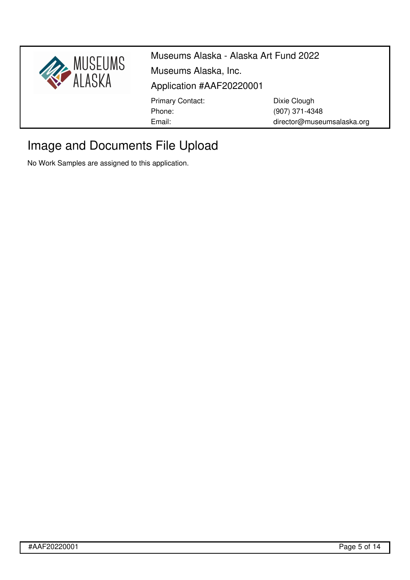

# Image and Documents File Upload

No Work Samples are assigned to this application.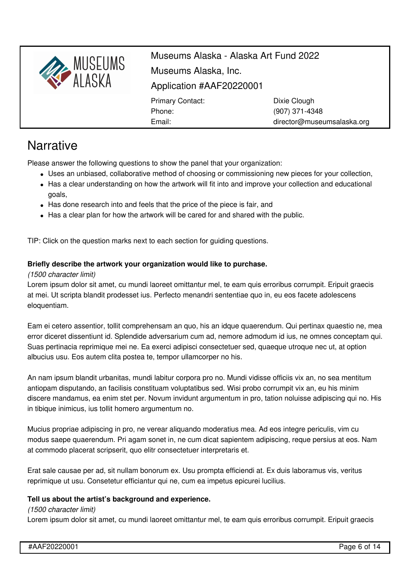

director@museumsalaska.org

# **Narrative**

Please answer the following questions to show the panel that your organization:

Email:

- Uses an unbiased, collaborative method of choosing or commissioning new pieces for your collection,
- Has a clear understanding on how the artwork will fit into and improve your collection and educational goals,
- Has done research into and feels that the price of the piece is fair, and
- Has a clear plan for how the artwork will be cared for and shared with the public.

TIP: Click on the question marks next to each section for guiding questions.

### **Briefly describe the artwork your organization would like to purchase.**

#### *(1500 character limit)*

Lorem ipsum dolor sit amet, cu mundi laoreet omittantur mel, te eam quis erroribus corrumpit. Eripuit graecis at mei. Ut scripta blandit prodesset ius. Perfecto menandri sententiae quo in, eu eos facete adolescens eloquentiam.

Eam ei cetero assentior, tollit comprehensam an quo, his an idque quaerendum. Qui pertinax quaestio ne, mea error diceret dissentiunt id. Splendide adversarium cum ad, nemore admodum id ius, ne omnes conceptam qui. Suas pertinacia reprimique mei ne. Ea exerci adipisci consectetuer sed, quaeque utroque nec ut, at option albucius usu. Eos autem clita postea te, tempor ullamcorper no his.

An nam ipsum blandit urbanitas, mundi labitur corpora pro no. Mundi vidisse officiis vix an, no sea mentitum antiopam disputando, an facilisis constituam voluptatibus sed. Wisi probo corrumpit vix an, eu his minim discere mandamus, ea enim stet per. Novum invidunt argumentum in pro, tation noluisse adipiscing qui no. His in tibique inimicus, ius tollit homero argumentum no.

Mucius propriae adipiscing in pro, ne verear aliquando moderatius mea. Ad eos integre periculis, vim cu modus saepe quaerendum. Pri agam sonet in, ne cum dicat sapientem adipiscing, reque persius at eos. Nam at commodo placerat scripserit, quo elitr consectetuer interpretaris et.

Erat sale causae per ad, sit nullam bonorum ex. Usu prompta efficiendi at. Ex duis laboramus vis, veritus reprimique ut usu. Consetetur efficiantur qui ne, cum ea impetus epicurei lucilius.

#### **Tell us about the artist's background and experience.**

#### *(1500 character limit)*

Lorem ipsum dolor sit amet, cu mundi laoreet omittantur mel, te eam quis erroribus corrumpit. Eripuit graecis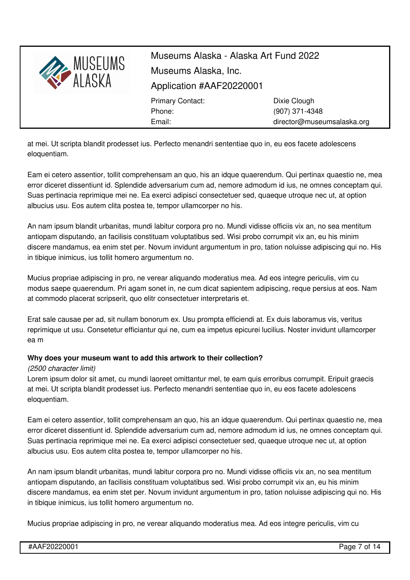

at mei. Ut scripta blandit prodesset ius. Perfecto menandri sententiae quo in, eu eos facete adolescens eloquentiam.

Eam ei cetero assentior, tollit comprehensam an quo, his an idque quaerendum. Qui pertinax quaestio ne, mea error diceret dissentiunt id. Splendide adversarium cum ad, nemore admodum id ius, ne omnes conceptam qui. Suas pertinacia reprimique mei ne. Ea exerci adipisci consectetuer sed, quaeque utroque nec ut, at option albucius usu. Eos autem clita postea te, tempor ullamcorper no his.

An nam ipsum blandit urbanitas, mundi labitur corpora pro no. Mundi vidisse officiis vix an, no sea mentitum antiopam disputando, an facilisis constituam voluptatibus sed. Wisi probo corrumpit vix an, eu his minim discere mandamus, ea enim stet per. Novum invidunt argumentum in pro, tation noluisse adipiscing qui no. His in tibique inimicus, ius tollit homero argumentum no.

Mucius propriae adipiscing in pro, ne verear aliquando moderatius mea. Ad eos integre periculis, vim cu modus saepe quaerendum. Pri agam sonet in, ne cum dicat sapientem adipiscing, reque persius at eos. Nam at commodo placerat scripserit, quo elitr consectetuer interpretaris et.

Erat sale causae per ad, sit nullam bonorum ex. Usu prompta efficiendi at. Ex duis laboramus vis, veritus reprimique ut usu. Consetetur efficiantur qui ne, cum ea impetus epicurei lucilius. Noster invidunt ullamcorper ea m

### **Why does your museum want to add this artwork to their collection?**

#### *(2500 character limit)*

Lorem ipsum dolor sit amet, cu mundi laoreet omittantur mel, te eam quis erroribus corrumpit. Eripuit graecis at mei. Ut scripta blandit prodesset ius. Perfecto menandri sententiae quo in, eu eos facete adolescens eloquentiam.

Eam ei cetero assentior, tollit comprehensam an quo, his an idque quaerendum. Qui pertinax quaestio ne, mea error diceret dissentiunt id. Splendide adversarium cum ad, nemore admodum id ius, ne omnes conceptam qui. Suas pertinacia reprimique mei ne. Ea exerci adipisci consectetuer sed, quaeque utroque nec ut, at option albucius usu. Eos autem clita postea te, tempor ullamcorper no his.

An nam ipsum blandit urbanitas, mundi labitur corpora pro no. Mundi vidisse officiis vix an, no sea mentitum antiopam disputando, an facilisis constituam voluptatibus sed. Wisi probo corrumpit vix an, eu his minim discere mandamus, ea enim stet per. Novum invidunt argumentum in pro, tation noluisse adipiscing qui no. His in tibique inimicus, ius tollit homero argumentum no.

Mucius propriae adipiscing in pro, ne verear aliquando moderatius mea. Ad eos integre periculis, vim cu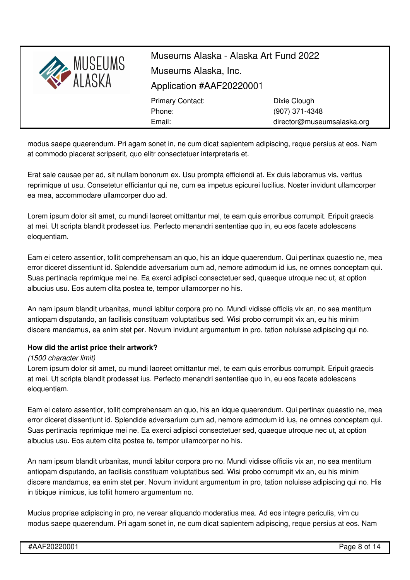

modus saepe quaerendum. Pri agam sonet in, ne cum dicat sapientem adipiscing, reque persius at eos. Nam at commodo placerat scripserit, quo elitr consectetuer interpretaris et.

Erat sale causae per ad, sit nullam bonorum ex. Usu prompta efficiendi at. Ex duis laboramus vis, veritus reprimique ut usu. Consetetur efficiantur qui ne, cum ea impetus epicurei lucilius. Noster invidunt ullamcorper ea mea, accommodare ullamcorper duo ad.

Lorem ipsum dolor sit amet, cu mundi laoreet omittantur mel, te eam quis erroribus corrumpit. Eripuit graecis at mei. Ut scripta blandit prodesset ius. Perfecto menandri sententiae quo in, eu eos facete adolescens eloquentiam.

Eam ei cetero assentior, tollit comprehensam an quo, his an idque quaerendum. Qui pertinax quaestio ne, mea error diceret dissentiunt id. Splendide adversarium cum ad, nemore admodum id ius, ne omnes conceptam qui. Suas pertinacia reprimique mei ne. Ea exerci adipisci consectetuer sed, quaeque utroque nec ut, at option albucius usu. Eos autem clita postea te, tempor ullamcorper no his.

An nam ipsum blandit urbanitas, mundi labitur corpora pro no. Mundi vidisse officiis vix an, no sea mentitum antiopam disputando, an facilisis constituam voluptatibus sed. Wisi probo corrumpit vix an, eu his minim discere mandamus, ea enim stet per. Novum invidunt argumentum in pro, tation noluisse adipiscing qui no.

#### **How did the artist price their artwork?**

#### *(1500 character limit)*

Lorem ipsum dolor sit amet, cu mundi laoreet omittantur mel, te eam quis erroribus corrumpit. Eripuit graecis at mei. Ut scripta blandit prodesset ius. Perfecto menandri sententiae quo in, eu eos facete adolescens eloquentiam.

Eam ei cetero assentior, tollit comprehensam an quo, his an idque quaerendum. Qui pertinax quaestio ne, mea error diceret dissentiunt id. Splendide adversarium cum ad, nemore admodum id ius, ne omnes conceptam qui. Suas pertinacia reprimique mei ne. Ea exerci adipisci consectetuer sed, quaeque utroque nec ut, at option albucius usu. Eos autem clita postea te, tempor ullamcorper no his.

An nam ipsum blandit urbanitas, mundi labitur corpora pro no. Mundi vidisse officiis vix an, no sea mentitum antiopam disputando, an facilisis constituam voluptatibus sed. Wisi probo corrumpit vix an, eu his minim discere mandamus, ea enim stet per. Novum invidunt argumentum in pro, tation noluisse adipiscing qui no. His in tibique inimicus, ius tollit homero argumentum no.

Mucius propriae adipiscing in pro, ne verear aliquando moderatius mea. Ad eos integre periculis, vim cu modus saepe quaerendum. Pri agam sonet in, ne cum dicat sapientem adipiscing, reque persius at eos. Nam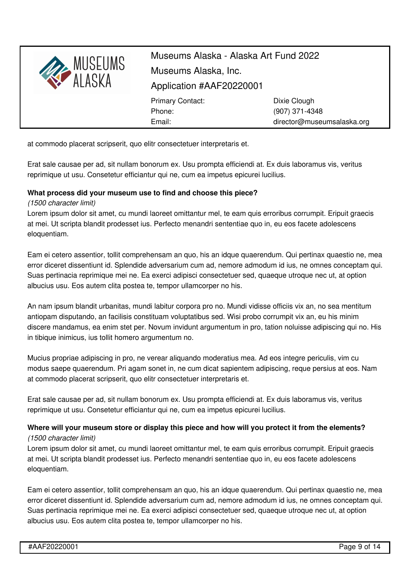

at commodo placerat scripserit, quo elitr consectetuer interpretaris et.

Erat sale causae per ad, sit nullam bonorum ex. Usu prompta efficiendi at. Ex duis laboramus vis, veritus reprimique ut usu. Consetetur efficiantur qui ne, cum ea impetus epicurei lucilius.

#### **What process did your museum use to find and choose this piece?**

#### *(1500 character limit)*

Lorem ipsum dolor sit amet, cu mundi laoreet omittantur mel, te eam quis erroribus corrumpit. Eripuit graecis at mei. Ut scripta blandit prodesset ius. Perfecto menandri sententiae quo in, eu eos facete adolescens eloquentiam.

Eam ei cetero assentior, tollit comprehensam an quo, his an idque quaerendum. Qui pertinax quaestio ne, mea error diceret dissentiunt id. Splendide adversarium cum ad, nemore admodum id ius, ne omnes conceptam qui. Suas pertinacia reprimique mei ne. Ea exerci adipisci consectetuer sed, quaeque utroque nec ut, at option albucius usu. Eos autem clita postea te, tempor ullamcorper no his.

An nam ipsum blandit urbanitas, mundi labitur corpora pro no. Mundi vidisse officiis vix an, no sea mentitum antiopam disputando, an facilisis constituam voluptatibus sed. Wisi probo corrumpit vix an, eu his minim discere mandamus, ea enim stet per. Novum invidunt argumentum in pro, tation noluisse adipiscing qui no. His in tibique inimicus, ius tollit homero argumentum no.

Mucius propriae adipiscing in pro, ne verear aliquando moderatius mea. Ad eos integre periculis, vim cu modus saepe quaerendum. Pri agam sonet in, ne cum dicat sapientem adipiscing, reque persius at eos. Nam at commodo placerat scripserit, quo elitr consectetuer interpretaris et.

Erat sale causae per ad, sit nullam bonorum ex. Usu prompta efficiendi at. Ex duis laboramus vis, veritus reprimique ut usu. Consetetur efficiantur qui ne, cum ea impetus epicurei lucilius.

#### **Where will your museum store or display this piece and how will you protect it from the elements?** *(1500 character limit)*

Lorem ipsum dolor sit amet, cu mundi laoreet omittantur mel, te eam quis erroribus corrumpit. Eripuit graecis at mei. Ut scripta blandit prodesset ius. Perfecto menandri sententiae quo in, eu eos facete adolescens eloquentiam.

Eam ei cetero assentior, tollit comprehensam an quo, his an idque quaerendum. Qui pertinax quaestio ne, mea error diceret dissentiunt id. Splendide adversarium cum ad, nemore admodum id ius, ne omnes conceptam qui. Suas pertinacia reprimique mei ne. Ea exerci adipisci consectetuer sed, quaeque utroque nec ut, at option albucius usu. Eos autem clita postea te, tempor ullamcorper no his.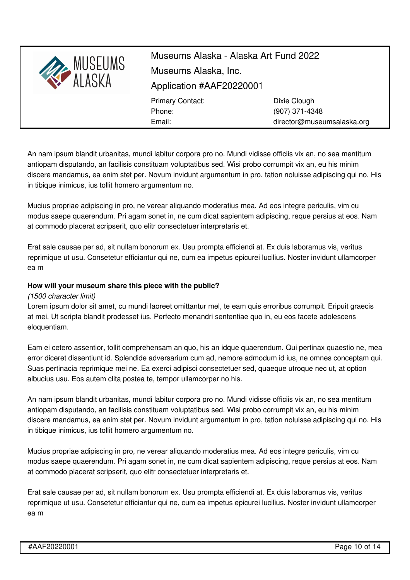

An nam ipsum blandit urbanitas, mundi labitur corpora pro no. Mundi vidisse officiis vix an, no sea mentitum antiopam disputando, an facilisis constituam voluptatibus sed. Wisi probo corrumpit vix an, eu his minim discere mandamus, ea enim stet per. Novum invidunt argumentum in pro, tation noluisse adipiscing qui no. His in tibique inimicus, ius tollit homero argumentum no.

Mucius propriae adipiscing in pro, ne verear aliquando moderatius mea. Ad eos integre periculis, vim cu modus saepe quaerendum. Pri agam sonet in, ne cum dicat sapientem adipiscing, reque persius at eos. Nam at commodo placerat scripserit, quo elitr consectetuer interpretaris et.

Erat sale causae per ad, sit nullam bonorum ex. Usu prompta efficiendi at. Ex duis laboramus vis, veritus reprimique ut usu. Consetetur efficiantur qui ne, cum ea impetus epicurei lucilius. Noster invidunt ullamcorper ea m

#### **How will your museum share this piece with the public?**

#### *(1500 character limit)*

Lorem ipsum dolor sit amet, cu mundi laoreet omittantur mel, te eam quis erroribus corrumpit. Eripuit graecis at mei. Ut scripta blandit prodesset ius. Perfecto menandri sententiae quo in, eu eos facete adolescens eloquentiam.

Eam ei cetero assentior, tollit comprehensam an quo, his an idque quaerendum. Qui pertinax quaestio ne, mea error diceret dissentiunt id. Splendide adversarium cum ad, nemore admodum id ius, ne omnes conceptam qui. Suas pertinacia reprimique mei ne. Ea exerci adipisci consectetuer sed, quaeque utroque nec ut, at option albucius usu. Eos autem clita postea te, tempor ullamcorper no his.

An nam ipsum blandit urbanitas, mundi labitur corpora pro no. Mundi vidisse officiis vix an, no sea mentitum antiopam disputando, an facilisis constituam voluptatibus sed. Wisi probo corrumpit vix an, eu his minim discere mandamus, ea enim stet per. Novum invidunt argumentum in pro, tation noluisse adipiscing qui no. His in tibique inimicus, ius tollit homero argumentum no.

Mucius propriae adipiscing in pro, ne verear aliquando moderatius mea. Ad eos integre periculis, vim cu modus saepe quaerendum. Pri agam sonet in, ne cum dicat sapientem adipiscing, reque persius at eos. Nam at commodo placerat scripserit, quo elitr consectetuer interpretaris et.

Erat sale causae per ad, sit nullam bonorum ex. Usu prompta efficiendi at. Ex duis laboramus vis, veritus reprimique ut usu. Consetetur efficiantur qui ne, cum ea impetus epicurei lucilius. Noster invidunt ullamcorper ea m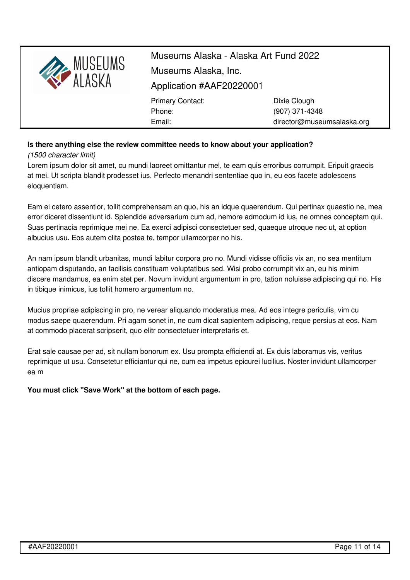

### **Is there anything else the review committee needs to know about your application?**

*(1500 character limit)*

Lorem ipsum dolor sit amet, cu mundi laoreet omittantur mel, te eam quis erroribus corrumpit. Eripuit graecis at mei. Ut scripta blandit prodesset ius. Perfecto menandri sententiae quo in, eu eos facete adolescens eloquentiam.

Eam ei cetero assentior, tollit comprehensam an quo, his an idque quaerendum. Qui pertinax quaestio ne, mea error diceret dissentiunt id. Splendide adversarium cum ad, nemore admodum id ius, ne omnes conceptam qui. Suas pertinacia reprimique mei ne. Ea exerci adipisci consectetuer sed, quaeque utroque nec ut, at option albucius usu. Eos autem clita postea te, tempor ullamcorper no his.

An nam ipsum blandit urbanitas, mundi labitur corpora pro no. Mundi vidisse officiis vix an, no sea mentitum antiopam disputando, an facilisis constituam voluptatibus sed. Wisi probo corrumpit vix an, eu his minim discere mandamus, ea enim stet per. Novum invidunt argumentum in pro, tation noluisse adipiscing qui no. His in tibique inimicus, ius tollit homero argumentum no.

Mucius propriae adipiscing in pro, ne verear aliquando moderatius mea. Ad eos integre periculis, vim cu modus saepe quaerendum. Pri agam sonet in, ne cum dicat sapientem adipiscing, reque persius at eos. Nam at commodo placerat scripserit, quo elitr consectetuer interpretaris et.

Erat sale causae per ad, sit nullam bonorum ex. Usu prompta efficiendi at. Ex duis laboramus vis, veritus reprimique ut usu. Consetetur efficiantur qui ne, cum ea impetus epicurei lucilius. Noster invidunt ullamcorper ea m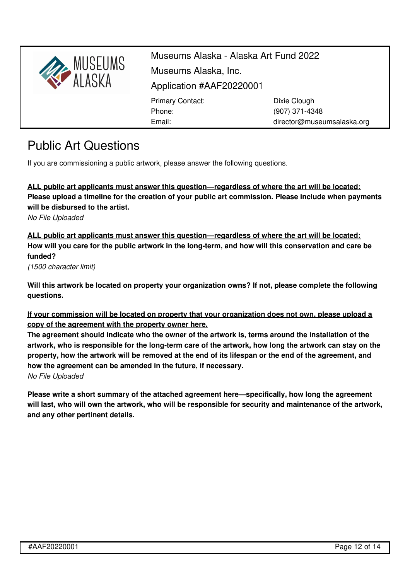

director@museumsalaska.org

Public Art Questions

If you are commissioning a public artwork, please answer the following questions.

Email:

**ALL public art applicants must answer this question—regardless of where the art will be located: Please upload a timeline for the creation of your public art commission. Please include when payments will be disbursed to the artist.**

*No File Uploaded*

**ALL public art applicants must answer this question—regardless of where the art will be located:** How will you care for the public artwork in the long-term, and how will this conservation and care be **funded?**

*(1500 character limit)*

**Will this artwork be located on property your organization owns? If not, please complete the following questions.**

**If your commission will be located on property that your organization does not own, please upload a copy of the agreement with the property owner here.**

**The agreement should indicate who the owner of the artwork is, terms around the installation of the** artwork, who is responsible for the long-term care of the artwork, how long the artwork can stay on the property, how the artwork will be removed at the end of its lifespan or the end of the agreement, and **how the agreement can be amended in the future, if necessary.** *No File Uploaded*

**Please write a short summary of the attached agreement here—specifically, how long the agreement** will last, who will own the artwork, who will be responsible for security and maintenance of the artwork, **and any other pertinent details.**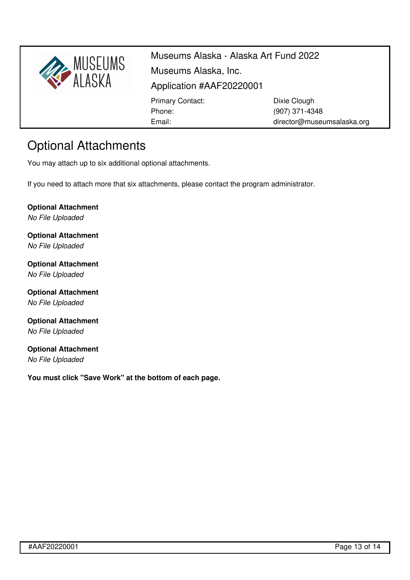

(907) 371-4348 director@museumsalaska.org

# Optional Attachments

You may attach up to six additional optional attachments.

If you need to attach more that six attachments, please contact the program administrator.

Email:

**Optional Attachment** *No File Uploaded*

**Optional Attachment** *No File Uploaded*

**Optional Attachment** *No File Uploaded*

**Optional Attachment** *No File Uploaded*

**Optional Attachment** *No File Uploaded*

**Optional Attachment** *No File Uploaded*